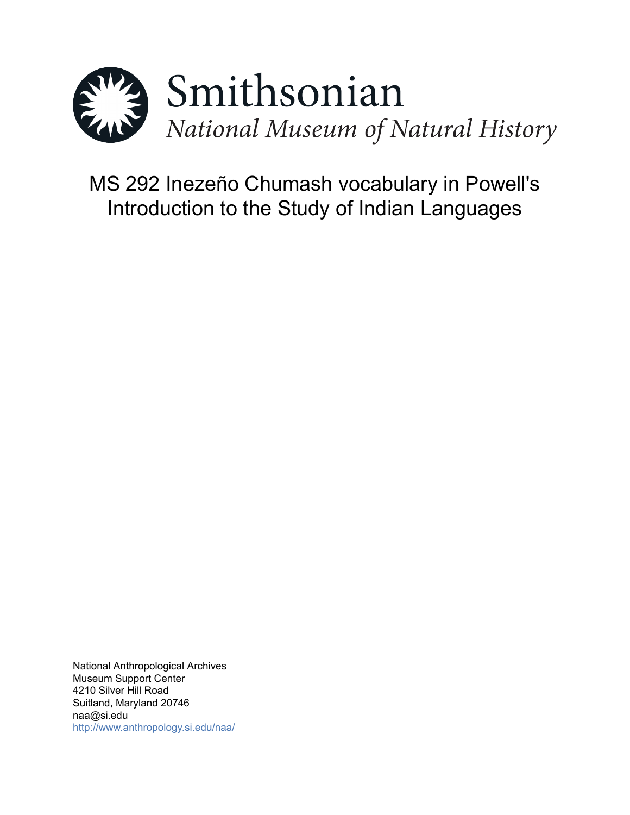

# MS 292 Inezeño Chumash vocabulary in Powell's Introduction to the Study of Indian Languages

National Anthropological Archives Museum Support Center 4210 Silver Hill Road Suitland, Maryland 20746 naa@si.edu <http://www.anthropology.si.edu/naa/>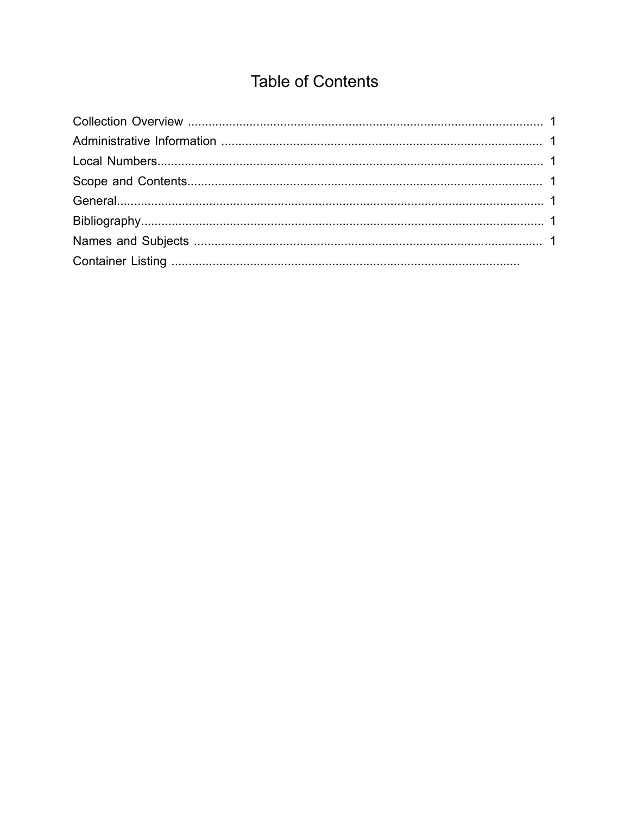## **Table of Contents**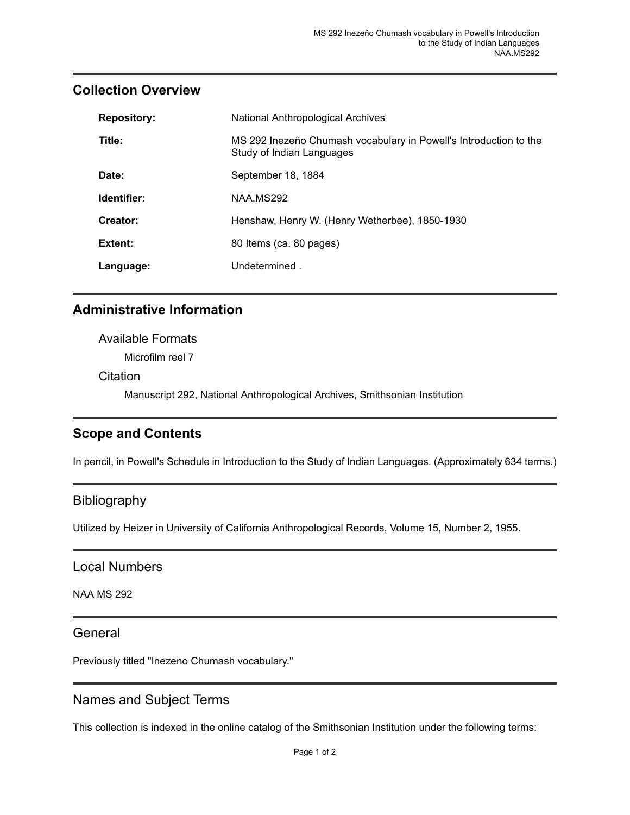#### <span id="page-2-0"></span>**Collection Overview**

| <b>Repository:</b> | National Anthropological Archives                                                              |
|--------------------|------------------------------------------------------------------------------------------------|
| Title:             | MS 292 Inezeño Chumash vocabulary in Powell's Introduction to the<br>Study of Indian Languages |
| Date:              | September 18, 1884                                                                             |
| Identifier:        | NAA.MS292                                                                                      |
| Creator:           | Henshaw, Henry W. (Henry Wetherbee), 1850-1930                                                 |
| Extent:            | 80 Items (ca. 80 pages)                                                                        |
| Language:          | Undetermined.                                                                                  |

#### <span id="page-2-1"></span>**Administrative Information**

### Available Formats Microfilm reel 7 **Citation** Manuscript 292, National Anthropological Archives, Smithsonian Institution

#### <span id="page-2-3"></span>**Scope and Contents**

In pencil, in Powell's Schedule in Introduction to the Study of Indian Languages. (Approximately 634 terms.)

#### <span id="page-2-5"></span>Bibliography

Utilized by Heizer in University of California Anthropological Records, Volume 15, Number 2, 1955.

#### <span id="page-2-2"></span>Local Numbers

NAA MS 292

#### <span id="page-2-4"></span>**General**

Previously titled "Inezeno Chumash vocabulary."

#### <span id="page-2-6"></span>Names and Subject Terms

This collection is indexed in the online catalog of the Smithsonian Institution under the following terms: